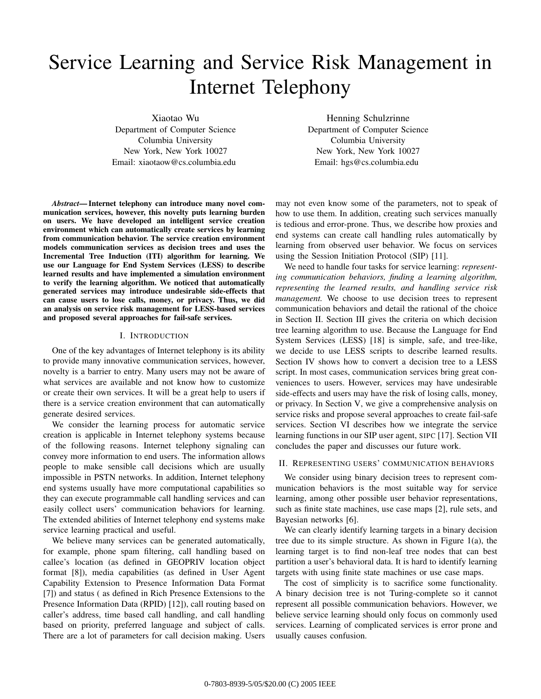# Service Learning and Service Risk Management in Internet Telephony

Xiaotao Wu Department of Computer Science Columbia University New York, New York 10027 Email: xiaotaow@cs.columbia.edu

Henning Schulzrinne Department of Computer Science Columbia University New York, New York 10027 Email: hgs@cs.columbia.edu

*Abstract***— Internet telephony can introduce many novel communication services, however, this novelty puts learning burden on users. We have developed an intelligent service creation environment which can automatically create services by learning from communication behavior. The service creation environment models communication services as decision trees and uses the Incremental Tree Induction (ITI) algorithm for learning. We use our Language for End System Services (LESS) to describe learned results and have implemented a simulation environment to verify the learning algorithm. We noticed that automatically generated services may introduce undesirable side-effects that can cause users to lose calls, money, or privacy. Thus, we did an analysis on service risk management for LESS-based services and proposed several approaches for fail-safe services.**

### I. INTRODUCTION

One of the key advantages of Internet telephony is its ability to provide many innovative communication services, however, novelty is a barrier to entry. Many users may not be aware of what services are available and not know how to customize or create their own services. It will be a great help to users if there is a service creation environment that can automatically generate desired services.

We consider the learning process for automatic service creation is applicable in Internet telephony systems because of the following reasons. Internet telephony signaling can convey more information to end users. The information allows people to make sensible call decisions which are usually impossible in PSTN networks. In addition, Internet telephony end systems usually have more computational capabilities so they can execute programmable call handling services and can easily collect users' communication behaviors for learning. The extended abilities of Internet telephony end systems make service learning practical and useful.

We believe many services can be generated automatically, for example, phone spam filtering, call handling based on callee's location (as defined in GEOPRIV location object format [8]), media capabilities (as defined in User Agent Capability Extension to Presence Information Data Format [7]) and status ( as defined in Rich Presence Extensions to the Presence Information Data (RPID) [12]), call routing based on caller's address, time based call handling, and call handling based on priority, preferred language and subject of calls. There are a lot of parameters for call decision making. Users

may not even know some of the parameters, not to speak of how to use them. In addition, creating such services manually is tedious and error-prone. Thus, we describe how proxies and end systems can create call handling rules automatically by learning from observed user behavior. We focus on services using the Session Initiation Protocol (SIP) [11].

We need to handle four tasks for service learning: *representing communication behaviors, finding a learning algorithm, representing the learned results, and handling service risk management.* We choose to use decision trees to represent communication behaviors and detail the rational of the choice in Section II. Section III gives the criteria on which decision tree learning algorithm to use. Because the Language for End System Services (LESS) [18] is simple, safe, and tree-like, we decide to use LESS scripts to describe learned results. Section IV shows how to convert a decision tree to a LESS script. In most cases, communication services bring great conveniences to users. However, services may have undesirable side-effects and users may have the risk of losing calls, money, or privacy. In Section V, we give a comprehensive analysis on service risks and propose several approaches to create fail-safe services. Section VI describes how we integrate the service learning functions in our SIP user agent, SIPC [17]. Section VII concludes the paper and discusses our future work.

## II. REPRESENTING USERS' COMMUNICATION BEHAVIORS

We consider using binary decision trees to represent communication behaviors is the most suitable way for service learning, among other possible user behavior representations, such as finite state machines, use case maps [2], rule sets, and Bayesian networks [6].

We can clearly identify learning targets in a binary decision tree due to its simple structure. As shown in Figure 1(a), the learning target is to find non-leaf tree nodes that can best partition a user's behavioral data. It is hard to identify learning targets with using finite state machines or use case maps.

The cost of simplicity is to sacrifice some functionality. A binary decision tree is not Turing-complete so it cannot represent all possible communication behaviors. However, we believe service learning should only focus on commonly used services. Learning of complicated services is error prone and usually causes confusion.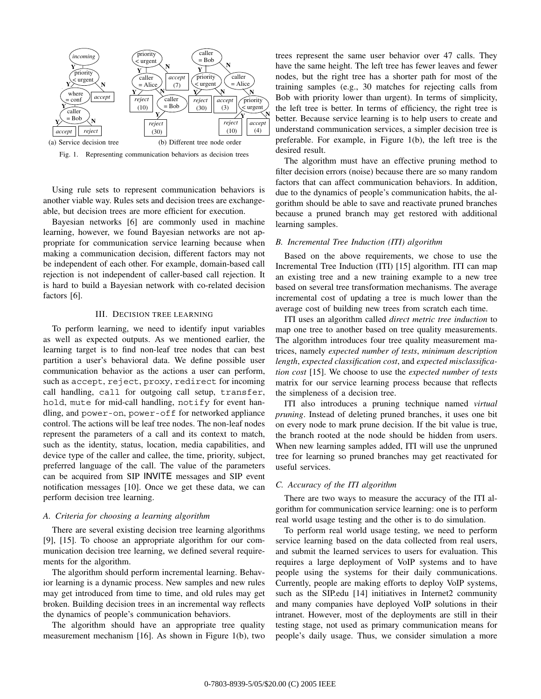

Fig. 1. Representing communication behaviors as decision trees

Using rule sets to represent communication behaviors is another viable way. Rules sets and decision trees are exchangeable, but decision trees are more efficient for execution.

Bayesian networks [6] are commonly used in machine learning, however, we found Bayesian networks are not appropriate for communication service learning because when making a communication decision, different factors may not be independent of each other. For example, domain-based call rejection is not independent of caller-based call rejection. It is hard to build a Bayesian network with co-related decision factors [6].

## III. DECISION TREE LEARNING

To perform learning, we need to identify input variables as well as expected outputs. As we mentioned earlier, the learning target is to find non-leaf tree nodes that can best partition a user's behavioral data. We define possible user communication behavior as the actions a user can perform, such as accept, reject, proxy, redirect for incoming call handling, call for outgoing call setup, transfer, hold, mute for mid-call handling, notify for event handling, and power-on, power-off for networked appliance control. The actions will be leaf tree nodes. The non-leaf nodes represent the parameters of a call and its context to match, such as the identity, status, location, media capabilities, and device type of the caller and callee, the time, priority, subject, preferred language of the call. The value of the parameters can be acquired from SIP INVITE messages and SIP event notification messages [10]. Once we get these data, we can perform decision tree learning.

#### *A. Criteria for choosing a learning algorithm*

There are several existing decision tree learning algorithms [9], [15]. To choose an appropriate algorithm for our communication decision tree learning, we defined several requirements for the algorithm.

The algorithm should perform incremental learning. Behavior learning is a dynamic process. New samples and new rules may get introduced from time to time, and old rules may get broken. Building decision trees in an incremental way reflects the dynamics of people's communication behaviors.

The algorithm should have an appropriate tree quality measurement mechanism [16]. As shown in Figure 1(b), two trees represent the same user behavior over 47 calls. They have the same height. The left tree has fewer leaves and fewer nodes, but the right tree has a shorter path for most of the training samples (e.g., 30 matches for rejecting calls from Bob with priority lower than urgent). In terms of simplicity, the left tree is better. In terms of efficiency, the right tree is better. Because service learning is to help users to create and understand communication services, a simpler decision tree is preferable. For example, in Figure 1(b), the left tree is the desired result.

The algorithm must have an effective pruning method to filter decision errors (noise) because there are so many random factors that can affect communication behaviors. In addition, due to the dynamics of people's communication habits, the algorithm should be able to save and reactivate pruned branches because a pruned branch may get restored with additional learning samples.

## *B. Incremental Tree Induction (ITI) algorithm*

Based on the above requirements, we chose to use the Incremental Tree Induction (ITI) [15] algorithm. ITI can map an existing tree and a new training example to a new tree based on several tree transformation mechanisms. The average incremental cost of updating a tree is much lower than the average cost of building new trees from scratch each time.

ITI uses an algorithm called *direct metric tree induction* to map one tree to another based on tree quality measurements. The algorithm introduces four tree quality measurement matrices, namely *expected number of tests*, *minimum description length*, *expected classification cost*, and *expected misclassification cost* [15]. We choose to use the *expected number of tests* matrix for our service learning process because that reflects the simpleness of a decision tree.

ITI also introduces a pruning technique named *virtual pruning*. Instead of deleting pruned branches, it uses one bit on every node to mark prune decision. If the bit value is true, the branch rooted at the node should be hidden from users. When new learning samples added, ITI will use the unpruned tree for learning so pruned branches may get reactivated for useful services.

## *C. Accuracy of the ITI algorithm*

There are two ways to measure the accuracy of the ITI algorithm for communication service learning: one is to perform real world usage testing and the other is to do simulation.

To perform real world usage testing, we need to perform service learning based on the data collected from real users, and submit the learned services to users for evaluation. This requires a large deployment of VoIP systems and to have people using the systems for their daily communications. Currently, people are making efforts to deploy VoIP systems, such as the SIP.edu [14] initiatives in Internet2 community and many companies have deployed VoIP solutions in their intranet. However, most of the deployments are still in their testing stage, not used as primary communication means for people's daily usage. Thus, we consider simulation a more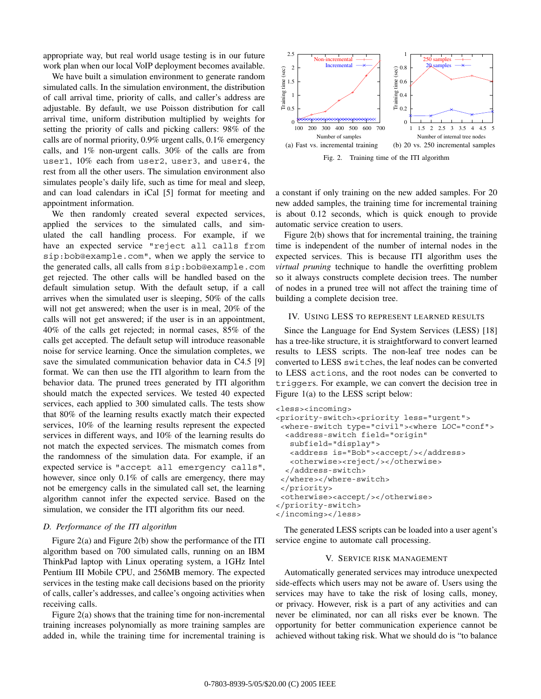appropriate way, but real world usage testing is in our future work plan when our local VoIP deployment becomes available.

We have built a simulation environment to generate random simulated calls. In the simulation environment, the distribution of call arrival time, priority of calls, and caller's address are adjustable. By default, we use Poisson distribution for call arrival time, uniform distribution multiplied by weights for setting the priority of calls and picking callers: 98% of the calls are of normal priority, 0.9% urgent calls, 0.1% emergency calls, and 1% non-urgent calls. 30% of the calls are from user1, 10% each from user2, user3, and user4, the rest from all the other users. The simulation environment also simulates people's daily life, such as time for meal and sleep, and can load calendars in iCal [5] format for meeting and appointment information.

We then randomly created several expected services, applied the services to the simulated calls, and simulated the call handling process. For example, if we have an expected service "reject all calls from sip:bob@example.com", when we apply the service to the generated calls, all calls from sip:bob@example.com get rejected. The other calls will be handled based on the default simulation setup. With the default setup, if a call arrives when the simulated user is sleeping, 50% of the calls will not get answered; when the user is in meal, 20% of the calls will not get answered; if the user is in an appointment, 40% of the calls get rejected; in normal cases, 85% of the calls get accepted. The default setup will introduce reasonable noise for service learning. Once the simulation completes, we save the simulated communication behavior data in C4.5 [9] format. We can then use the ITI algorithm to learn from the behavior data. The pruned trees generated by ITI algorithm should match the expected services. We tested 40 expected services, each applied to 300 simulated calls. The tests show that 80% of the learning results exactly match their expected services, 10% of the learning results represent the expected services in different ways, and 10% of the learning results do not match the expected services. The mismatch comes from the randomness of the simulation data. For example, if an expected service is "accept all emergency calls", however, since only 0.1% of calls are emergency, there may not be emergency calls in the simulated call set, the learning algorithm cannot infer the expected service. Based on the simulation, we consider the ITI algorithm fits our need.

## *D. Performance of the ITI algorithm*

Figure 2(a) and Figure 2(b) show the performance of the ITI algorithm based on 700 simulated calls, running on an IBM ThinkPad laptop with Linux operating system, a 1GHz Intel Pentium III Mobile CPU, and 256MB memory. The expected services in the testing make call decisions based on the priority of calls, caller's addresses, and callee's ongoing activities when receiving calls.

Figure 2(a) shows that the training time for non-incremental training increases polynomially as more training samples are added in, while the training time for incremental training is



Fig. 2. Training time of the ITI algorithm

a constant if only training on the new added samples. For 20 new added samples, the training time for incremental training is about 0.12 seconds, which is quick enough to provide automatic service creation to users.

Figure 2(b) shows that for incremental training, the training time is independent of the number of internal nodes in the expected services. This is because ITI algorithm uses the *virtual pruning* technique to handle the overfitting problem so it always constructs complete decision trees. The number of nodes in a pruned tree will not affect the training time of building a complete decision tree.

## IV. USING LESS TO REPRESENT LEARNED RESULTS

Since the Language for End System Services (LESS) [18] has a tree-like structure, it is straightforward to convert learned results to LESS scripts. The non-leaf tree nodes can be converted to LESS switches, the leaf nodes can be converted to LESS actions, and the root nodes can be converted to triggers. For example, we can convert the decision tree in Figure 1(a) to the LESS script below:

```
<less><incoming>
<priority-switch><priority less="urgent">
 <where-switch type="civil"><where LOC="conf">
  <address-switch field="origin"
   subfield="display">
   <address is="Bob"><accept/></address>
   <otherwise><reject/></otherwise>
  </address-switch>
 </where></where-switch>
 </priority>
 <otherwise><accept/></otherwise>
</priority-switch>
</incoming></less>
```
The generated LESS scripts can be loaded into a user agent's service engine to automate call processing.

#### V. SERVICE RISK MANAGEMENT

Automatically generated services may introduce unexpected side-effects which users may not be aware of. Users using the services may have to take the risk of losing calls, money, or privacy. However, risk is a part of any activities and can never be eliminated, nor can all risks ever be known. The opportunity for better communication experience cannot be achieved without taking risk. What we should do is "to balance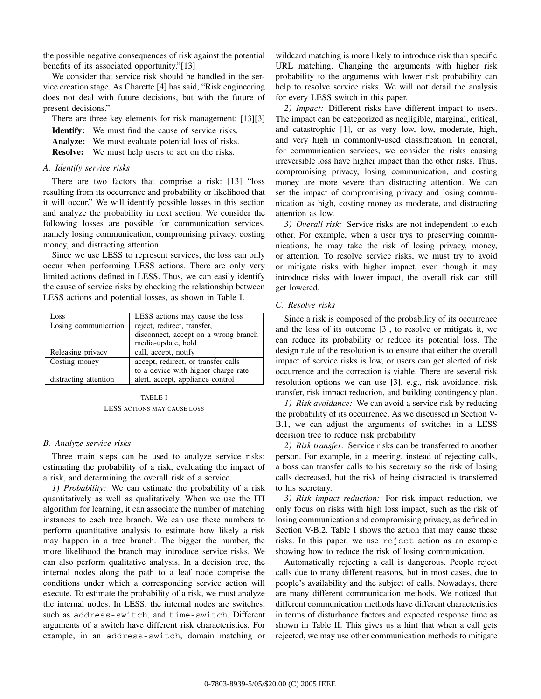the possible negative consequences of risk against the potential benefits of its associated opportunity."[13]

We consider that service risk should be handled in the service creation stage. As Charette [4] has said, "Risk engineering does not deal with future decisions, but with the future of present decisions."

There are three key elements for risk management: [13][3] **Identify:** We must find the cause of service risks. **Analyze:** We must evaluate potential loss of risks.

**Resolve:** We must help users to act on the risks.

#### *A. Identify service risks*

There are two factors that comprise a risk: [13] "loss resulting from its occurrence and probability or likelihood that it will occur." We will identify possible losses in this section and analyze the probability in next section. We consider the following losses are possible for communication services, namely losing communication, compromising privacy, costing money, and distracting attention.

Since we use LESS to represent services, the loss can only occur when performing LESS actions. There are only very limited actions defined in LESS. Thus, we can easily identify the cause of service risks by checking the relationship between LESS actions and potential losses, as shown in Table I.

| Loss                  | LESS actions may cause the loss      |  |
|-----------------------|--------------------------------------|--|
| Losing communication  | reject, redirect, transfer,          |  |
|                       | disconnect, accept on a wrong branch |  |
|                       | media-update, hold                   |  |
| Releasing privacy     | call, accept, notify                 |  |
| Costing money         | accept, redirect, or transfer calls  |  |
|                       | to a device with higher charge rate  |  |
| distracting attention | alert, accept, appliance control     |  |

#### TABLE I

LESS ACTIONS MAY CAUSE LOSS

#### *B. Analyze service risks*

Three main steps can be used to analyze service risks: estimating the probability of a risk, evaluating the impact of a risk, and determining the overall risk of a service.

*1) Probability:* We can estimate the probability of a risk quantitatively as well as qualitatively. When we use the ITI algorithm for learning, it can associate the number of matching instances to each tree branch. We can use these numbers to perform quantitative analysis to estimate how likely a risk may happen in a tree branch. The bigger the number, the more likelihood the branch may introduce service risks. We can also perform qualitative analysis. In a decision tree, the internal nodes along the path to a leaf node comprise the conditions under which a corresponding service action will execute. To estimate the probability of a risk, we must analyze the internal nodes. In LESS, the internal nodes are switches, such as address-switch, and time-switch. Different arguments of a switch have different risk characteristics. For example, in an address-switch, domain matching or

wildcard matching is more likely to introduce risk than specific URL matching. Changing the arguments with higher risk probability to the arguments with lower risk probability can help to resolve service risks. We will not detail the analysis for every LESS switch in this paper.

*2) Impact:* Different risks have different impact to users. The impact can be categorized as negligible, marginal, critical, and catastrophic [1], or as very low, low, moderate, high, and very high in commonly-used classification. In general, for communication services, we consider the risks causing irreversible loss have higher impact than the other risks. Thus, compromising privacy, losing communication, and costing money are more severe than distracting attention. We can set the impact of compromising privacy and losing communication as high, costing money as moderate, and distracting attention as low.

*3) Overall risk:* Service risks are not independent to each other. For example, when a user trys to preserving communications, he may take the risk of losing privacy, money, or attention. To resolve service risks, we must try to avoid or mitigate risks with higher impact, even though it may introduce risks with lower impact, the overall risk can still get lowered.

## *C. Resolve risks*

Since a risk is composed of the probability of its occurrence and the loss of its outcome [3], to resolve or mitigate it, we can reduce its probability or reduce its potential loss. The design rule of the resolution is to ensure that either the overall impact of service risks is low, or users can get alerted of risk occurrence and the correction is viable. There are several risk resolution options we can use [3], e.g., risk avoidance, risk transfer, risk impact reduction, and building contingency plan.

*1) Risk avoidance:* We can avoid a service risk by reducing the probability of its occurrence. As we discussed in Section V-B.1, we can adjust the arguments of switches in a LESS decision tree to reduce risk probability.

*2) Risk transfer:* Service risks can be transferred to another person. For example, in a meeting, instead of rejecting calls, a boss can transfer calls to his secretary so the risk of losing calls decreased, but the risk of being distracted is transferred to his secretary.

*3) Risk impact reduction:* For risk impact reduction, we only focus on risks with high loss impact, such as the risk of losing communication and compromising privacy, as defined in Section V-B.2. Table I shows the action that may cause these risks. In this paper, we use reject action as an example showing how to reduce the risk of losing communication.

Automatically rejecting a call is dangerous. People reject calls due to many different reasons, but in most cases, due to people's availability and the subject of calls. Nowadays, there are many different communication methods. We noticed that different communication methods have different characteristics in terms of disturbance factors and expected response time as shown in Table II. This gives us a hint that when a call gets rejected, we may use other communication methods to mitigate